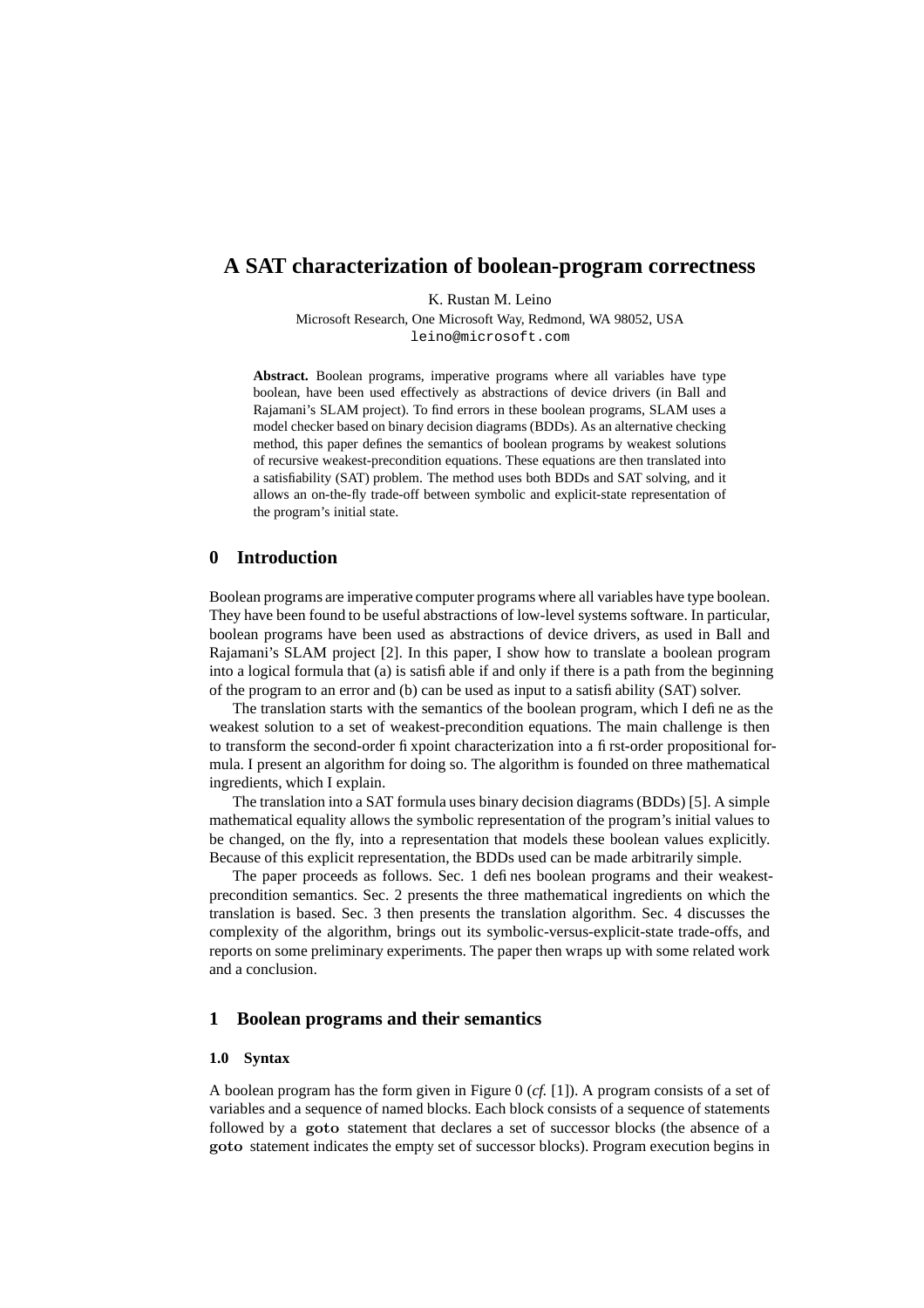# **A SAT characterization of boolean-program correctness**

K. Rustan M. Leino

Microsoft Research, One Microsoft Way, Redmond, WA 98052, USA leino@microsoft.com

**Abstract.** Boolean programs, imperative programs where all variables have type boolean, have been used effectively as abstractions of device drivers (in Ball and Rajamani's SLAM project). To find errors in these boolean programs, SLAM uses a model checker based on binary decision diagrams (BDDs). As an alternative checking method, this paper defines the semantics of boolean programs by weakest solutions of recursive weakest-precondition equations. These equations are then translated into a satisfiability (SAT) problem. The method uses both BDDs and SAT solving, and it allows an on-the-fly trade-off between symbolic and explicit-state representation of the program's initial state.

### **0 Introduction**

Boolean programs are imperative computer programs where all variables have type boolean. They have been found to be useful abstractions of low-level systems software. In particular, boolean programs have been used as abstractions of device drivers, as used in Ball and Rajamani's SLAM project [2]. In this paper, I show how to translate a boolean program into a logical formula that (a) is satisfiable if and only if there is a path from the beginning of the program to an error and (b) can be used as input to a satisfiability (SAT) solver.

The translation starts with the semantics of the boolean program, which I define as the weakest solution to a set of weakest-precondition equations. The main challenge is then to transform the second-order fixpoint characterization into a first-order propositional formula. I present an algorithm for doing so. The algorithm is founded on three mathematical ingredients, which I explain.

The translation into a SAT formula uses binary decision diagrams (BDDs) [5]. A simple mathematical equality allows the symbolic representation of the program's initial values to be changed, on the fly, into a representation that models these boolean values explicitly. Because of this explicit representation, the BDDs used can be made arbitrarily simple.

The paper proceeds as follows. Sec. 1 defines boolean programs and their weakestprecondition semantics. Sec. 2 presents the three mathematical ingredients on which the translation is based. Sec. 3 then presents the translation algorithm. Sec. 4 discusses the complexity of the algorithm, brings out its symbolic-versus-explicit-state trade-offs, and reports on some preliminary experiments. The paper then wraps up with some related work and a conclusion.

### **1 Boolean programs and their semantics**

#### **1.0 Syntax**

A boolean program has the form given in Figure 0 (*cf.* [1]). A program consists of a set of variables and a sequence of named blocks. Each block consists of a sequence of statements followed by a goto statement that declares a set of successor blocks (the absence of a goto statement indicates the empty set of successor blocks). Program execution begins in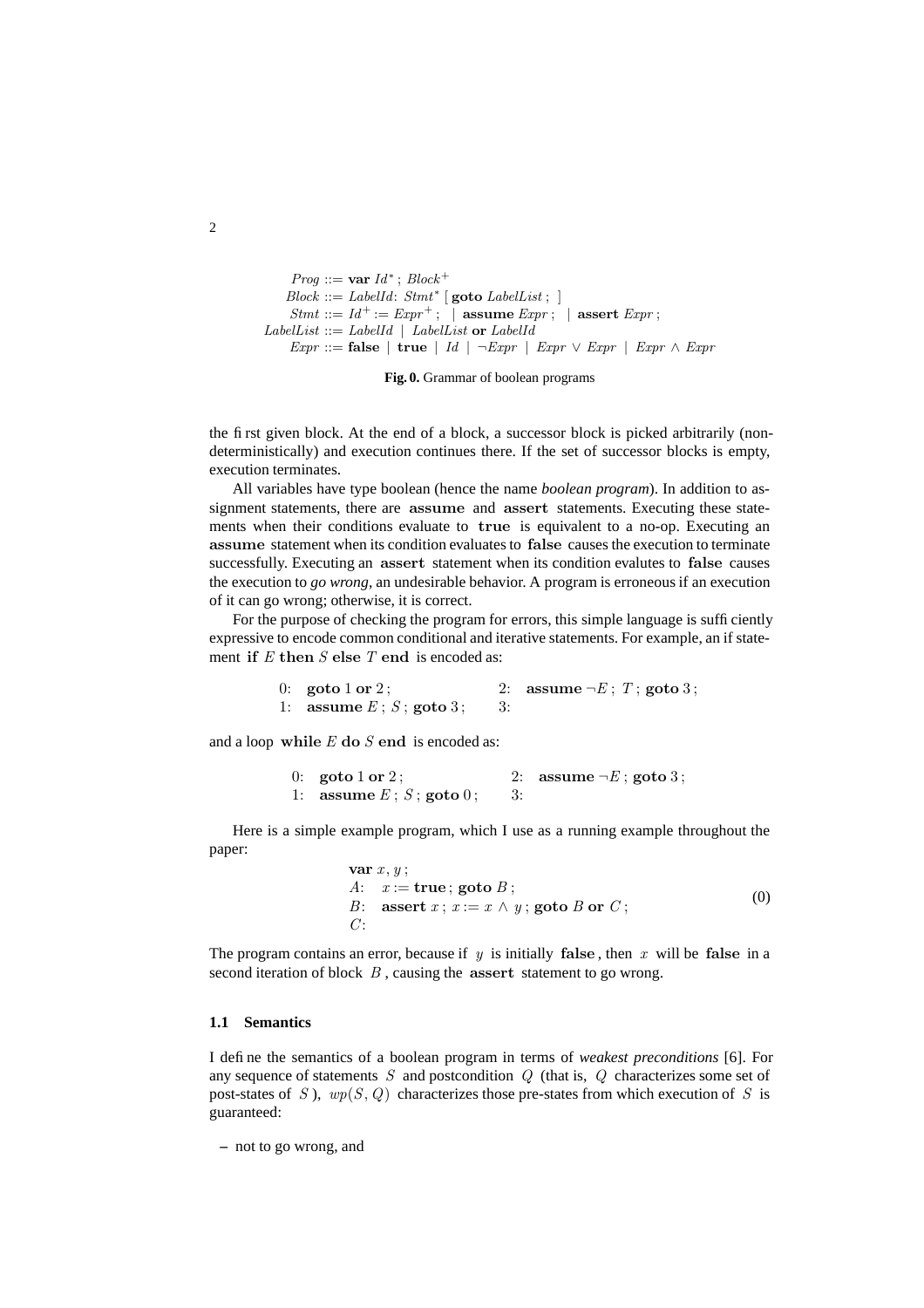```
Prog ::= var Id^*; Block^+Block ::= LabelId: \; Stmt^* [goto \; LabelList; \; ]Stmt ::= Id^+ := Expr^+; | assume Expr; | assert Expr;LabelList ::= LabelId \mid LabelList or LabelId\textit{Expr} ::= \textbf{false} \mid \textbf{true} \mid \textit{Id} \mid \neg \textit{Expr} \mid \textit{Expr} \lor \textit{Expr} \mid \textit{Expr} \land \textit{Expr}
```
**Fig. 0.** Grammar of boolean programs

the first given block. At the end of a block, a successor block is picked arbitrarily (nondeterministically) and execution continues there. If the set of successor blocks is empty, execution terminates.

All variables have type boolean (hence the name *boolean program*). In addition to assignment statements, there are assume and assert statements. Executing these statements when their conditions evaluate to true is equivalent to a no-op. Executing an assume statement when its condition evaluates to false causes the execution to terminate successfully. Executing an assert statement when its condition evalutes to false causes the execution to *go wrong*, an undesirable behavior. A program is erroneous if an execution of it can go wrong; otherwise, it is correct.

For the purpose of checking the program for errors, this simple language is sufficiently expressive to encode common conditional and iterative statements. For example, an if statement if  $E$  then  $S$  else  $T$  end is encoded as:

```
0: goto 1 or 2; 2: assume \neg E; T; goto 3;
1: assume E : S : \text{goto 3}: 3:
```
and a loop while  $E$  do  $S$  end is encoded as:

```
0: goto 1 or 2; 2: assume \neg E; goto 3;
1: assume E; S; goto 0; 3:
```
Here is a simple example program, which I use as a running example throughout the paper:

```
var x, y;
A: x := true; goto B;
B: assert x; x := x \wedge y; goto B or C;
C^{\cdot}(0)
```
The program contains an error, because if y is initially false, then x will be false in a second iteration of block  $B$ , causing the assert statement to go wrong.

## **1.1 Semantics**

I define the semantics of a boolean program in terms of *weakest preconditions* [6]. For any sequence of statements  $S$  and postcondition  $Q$  (that is,  $Q$  characterizes some set of post-states of S),  $wp(S, Q)$  characterizes those pre-states from which execution of S is guaranteed:

**–** not to go wrong, and

 $\overline{2}$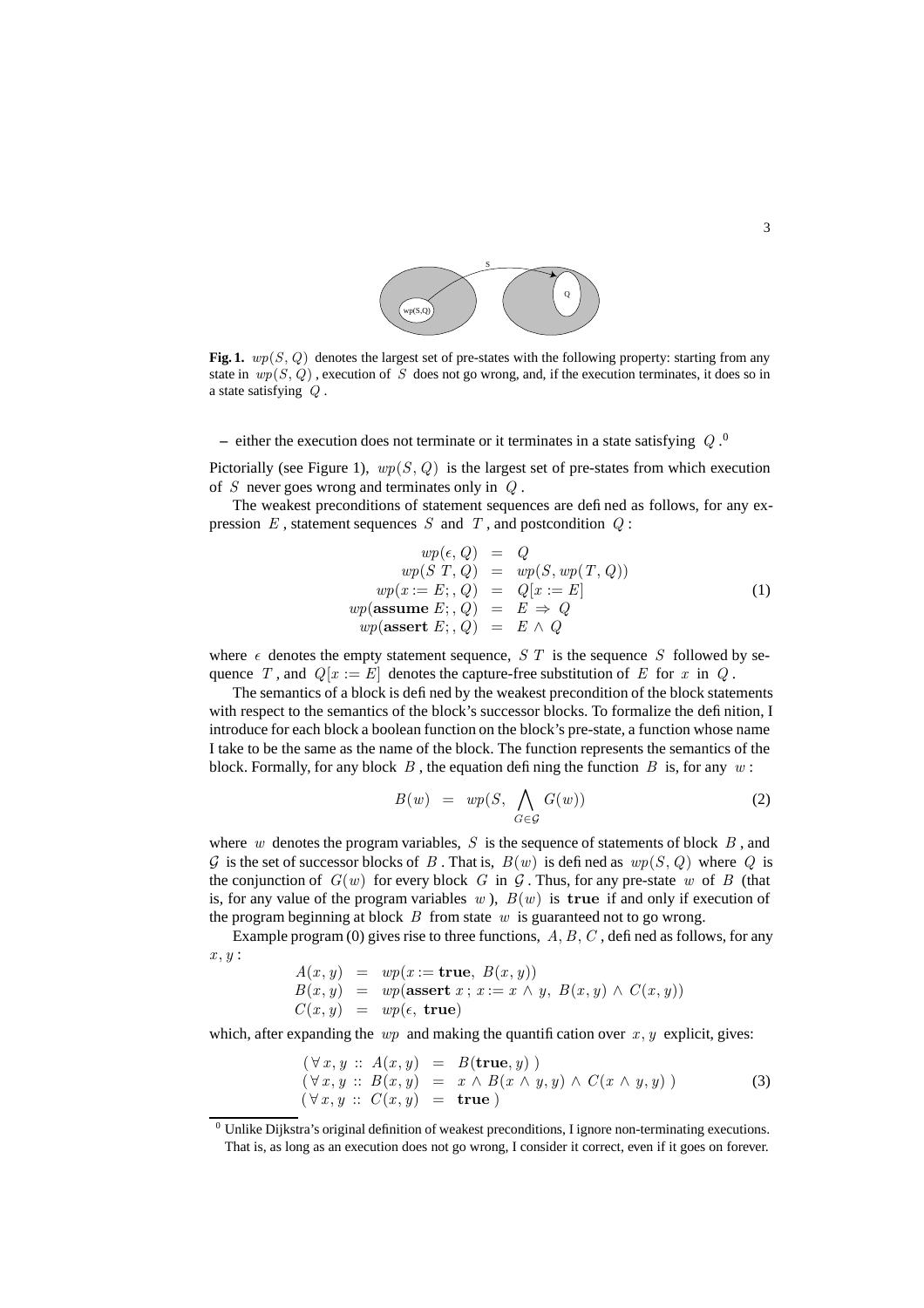

**Fig. 1.**  $wp(S, Q)$  denotes the largest set of pre-states with the following property: starting from any state in  $wp(S, Q)$ , execution of S does not go wrong, and, if the execution terminates, it does so in a state satisfying Q .

 $-$  either the execution does not terminate or it terminates in a state satisfying  $Q$ .<sup>0</sup>

Pictorially (see Figure 1),  $wp(S, Q)$  is the largest set of pre-states from which execution of S never goes wrong and terminates only in  $Q$ .

The weakest preconditions of statement sequences are defined as follows, for any expression  $E$ , statement sequences  $S$  and  $T$ , and postcondition  $Q$ :

$$
wp(\epsilon, Q) = Q
$$
  
\n
$$
wp(S T, Q) = wp(S, wp(T, Q))
$$
  
\n
$$
wp(x := E; Q) = Q[x := E]
$$
  
\n
$$
wp(\text{assume } E; Q) = E \Rightarrow Q
$$
  
\n
$$
wp(\text{assert } E; Q) = E \land Q
$$
  
\n(1)

where  $\epsilon$  denotes the empty statement sequence, S T is the sequence S followed by sequence T, and  $Q[x := E]$  denotes the capture-free substitution of E for x in Q.

The semantics of a block is defined by the weakest precondition of the block statements with respect to the semantics of the block's successor blocks. To formalize the definition, I introduce for each block a boolean function on the block's pre-state, a function whose name I take to be the same as the name of the block. The function represents the semantics of the block. Formally, for any block  $B$ , the equation defining the function  $B$  is, for any  $w$ :

$$
B(w) = wp(S, \bigwedge_{G \in \mathcal{G}} G(w))
$$
 (2)

where w denotes the program variables,  $S$  is the sequence of statements of block  $B$ , and G is the set of successor blocks of B. That is,  $B(w)$  is defined as  $wp(S, Q)$  where Q is the conjunction of  $G(w)$  for every block G in G. Thus, for any pre-state w of B (that is, for any value of the program variables w ),  $B(w)$  is true if and only if execution of the program beginning at block  $B$  from state  $w$  is guaranteed not to go wrong.

Example program (0) gives rise to three functions,  $A, B, C$ , defined as follows, for any  $x, y$ :

$$
A(x, y) = wp(x := true, B(x, y))
$$
  
\n
$$
B(x, y) = wp(\text{assert } x; x := x \land y, B(x, y) \land C(x, y))
$$
  
\n
$$
C(x, y) = wp(\epsilon, true)
$$

which, after expanding the *wp* and making the quantification over  $x, y$  explicit, gives:

$$
(\forall x, y :: A(x, y) = B(\mathbf{true}, y))(\forall x, y :: B(x, y) = x \land B(x \land y, y) \land C(x \land y, y))(\forall x, y :: C(x, y) = \mathbf{true})
$$
\n(3)

 $0$  Unlike Dijkstra's original definition of weakest preconditions, I ignore non-terminating executions. That is, as long as an execution does not go wrong, I consider it correct, even if it goes on forever.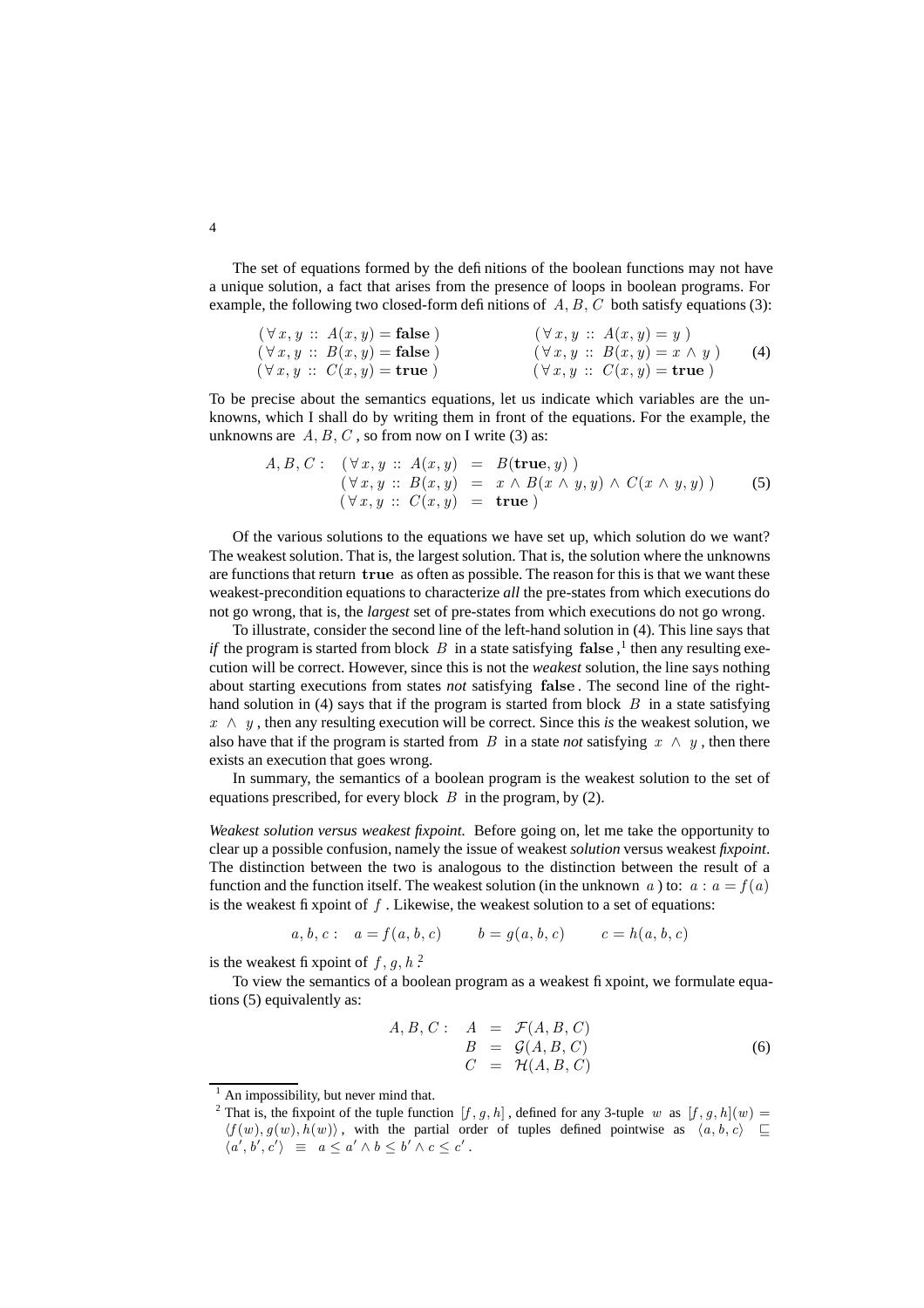The set of equations formed by the definitions of the boolean functions may not have a unique solution, a fact that arises from the presence of loops in boolean programs. For example, the following two closed-form definitions of  $A, B, C$  both satisfy equations (3):

| $(\forall x, y :: A(x, y) = \textbf{false})$ | $(\forall x, y :: A(x, y) = y)$                |
|----------------------------------------------|------------------------------------------------|
| $(\forall x, y :: B(x, y) = \textbf{false})$ | $(\forall x, y :: B(x, y) = x \land y)$<br>(4) |
| $(\forall x, y :: C(x, y) = \textbf{true})$  | $(\forall x, y :: C(x, y) = \textbf{true})$    |

To be precise about the semantics equations, let us indicate which variables are the unknowns, which I shall do by writing them in front of the equations. For the example, the unknowns are  $A, B, C$ , so from now on I write (3) as:

$$
A, B, C: \quad (\forall x, y :: A(x, y) = B(\mathbf{true}, y)) \n(\forall x, y :: B(x, y) = x \land B(x \land y, y) \land C(x \land y, y)) \n(\forall x, y :: C(x, y) = \mathbf{true})
$$
\n(5)

Of the various solutions to the equations we have set up, which solution do we want? The weakest solution. That is, the largest solution. That is, the solution where the unknowns are functions that return true as often as possible. The reason for this is that we want these weakest-precondition equations to characterize *all* the pre-states from which executions do not go wrong, that is, the *largest* set of pre-states from which executions do not go wrong.

To illustrate, consider the second line of the left-hand solution in (4). This line says that *if* the program is started from block  $B$  in a state satisfying false,  $\frac{1}{1}$  then any resulting execution will be correct. However, since this is not the *weakest* solution, the line says nothing about starting executions from states *not* satisfying false . The second line of the righthand solution in (4) says that if the program is started from block  $B$  in a state satisfying  $x \wedge y$ , then any resulting execution will be correct. Since this *is* the weakest solution, we also have that if the program is started from B in a state *not* satisfying  $x \wedge y$ , then there exists an execution that goes wrong.

In summary, the semantics of a boolean program is the weakest solution to the set of equations prescribed, for every block  $B$  in the program, by (2).

*Weakest solution versus weakest fixpoint.* Before going on, let me take the opportunity to clear up a possible confusion, namely the issue of weakest *solution* versus weakest *fixpoint*. The distinction between the two is analogous to the distinction between the result of a function and the function itself. The weakest solution (in the unknown a) to:  $a : a = f(a)$ is the weakest fixpoint of  $f$ . Likewise, the weakest solution to a set of equations:

$$
a, b, c: a = f(a, b, c)
$$
  $b = g(a, b, c)$   $c = h(a, b, c)$ 

is the weakest fi xpoint of  $f, g, h$ ?

To view the semantics of a boolean program as a weakest fixpoint, we formulate equations (5) equivalently as:

$$
A, B, C: A = \mathcal{F}(A, B, C)
$$
  
\n
$$
B = \mathcal{G}(A, B, C)
$$
  
\n
$$
C = \mathcal{H}(A, B, C)
$$
\n(6)

An impossibility, but never mind that.

<sup>&</sup>lt;sup>2</sup> That is, the fixpoint of the tuple function  $[f, g, h]$ , defined for any 3-tuple w as  $[f, g, h](w)$  $\langle f(w), g(w), h(w) \rangle$ , with the partial order of tuples defined pointwise as  $\langle a, b, c \rangle \subseteq$  $\langle a', b', c' \rangle \equiv a \leq a' \wedge b \leq b' \wedge c \leq c'$ .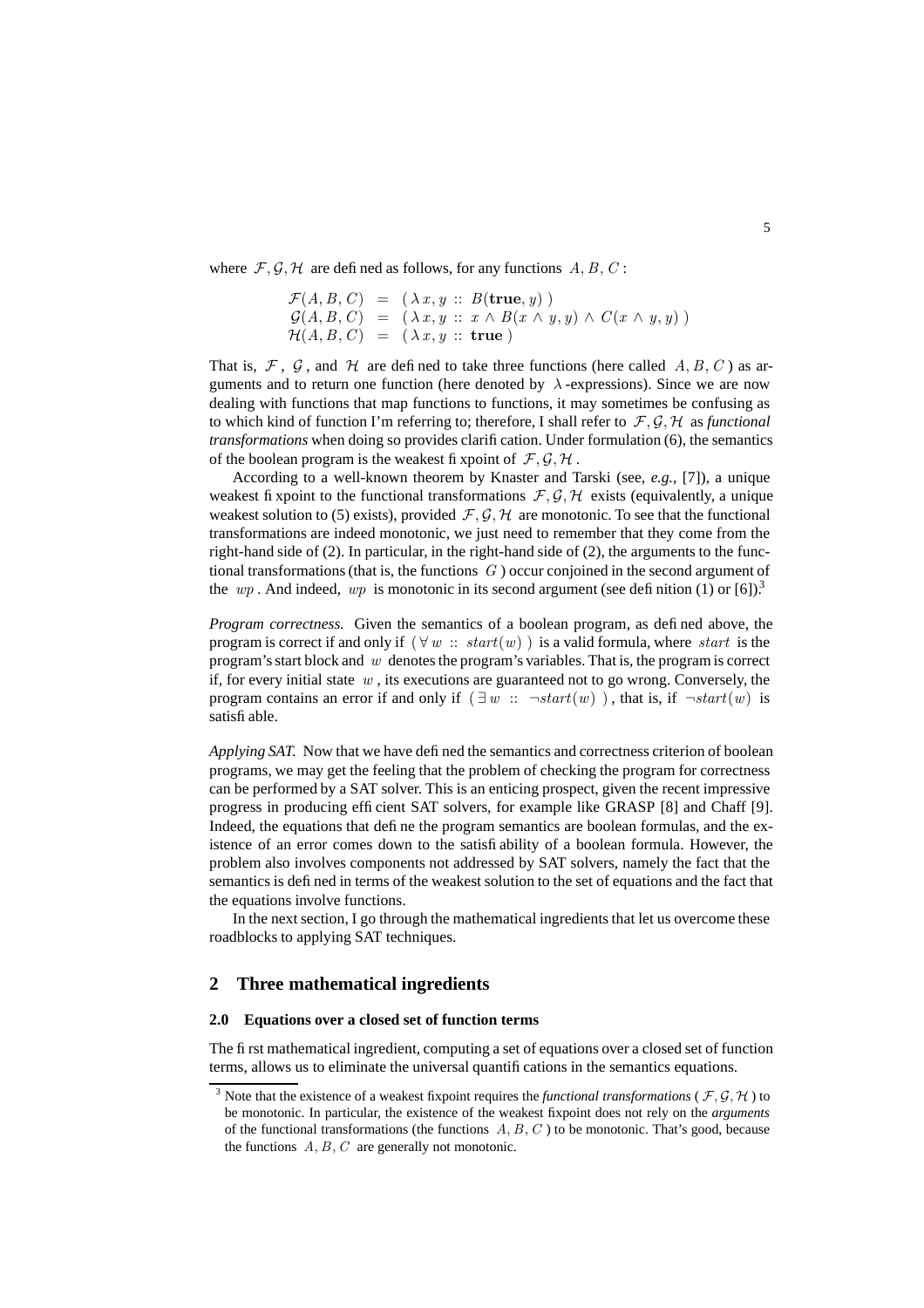where  $F, G, H$  are defined as follows, for any functions  $A, B, C$ :

$$
\mathcal{F}(A, B, C) = (\lambda x, y :: B(\mathbf{true}, y)) \n\mathcal{G}(A, B, C) = (\lambda x, y :: x \land B(x \land y, y) \land C(x \land y, y)) \n\mathcal{H}(A, B, C) = (\lambda x, y :: \mathbf{true})
$$

That is, F, G, and H are defined to take three functions (here called A, B, C) as arguments and to return one function (here denoted by  $\lambda$ -expressions). Since we are now dealing with functions that map functions to functions, it may sometimes be confusing as to which kind of function I'm referring to; therefore, I shall refer to  $\mathcal{F}, \mathcal{G}, \mathcal{H}$  as *functional transformations* when doing so provides clarification. Under formulation (6), the semantics of the boolean program is the weakest fixpoint of  $\mathcal{F}, \mathcal{G}, \mathcal{H}$ .

According to a well-known theorem by Knaster and Tarski (see, *e.g.*, [7]), a unique weakest fixpoint to the functional transformations  $\mathcal{F}, \mathcal{G}, \mathcal{H}$  exists (equivalently, a unique weakest solution to (5) exists), provided  $\mathcal{F}, \mathcal{G}, \mathcal{H}$  are monotonic. To see that the functional transformations are indeed monotonic, we just need to remember that they come from the right-hand side of (2). In particular, in the right-hand side of (2), the arguments to the functional transformations (that is, the functions  $G$ ) occur conjoined in the second argument of the wp. And indeed, wp is monotonic in its second argument (see definition (1) or [6]).<sup>3</sup>

*Program correctness.* Given the semantics of a boolean program, as defined above, the program is correct if and only if  $(\forall w :: start(w))$  is a valid formula, where start is the program's start block and  $w$  denotes the program's variables. That is, the program is correct if, for every initial state  $w$ , its executions are guaranteed not to go wrong. Conversely, the program contains an error if and only if  $(\exists w :: \neg start(w))$ , that is, if  $\neg start(w)$  is satisfiable.

*Applying SAT.* Now that we have defined the semantics and correctness criterion of boolean programs, we may get the feeling that the problem of checking the program for correctness can be performed by a SAT solver. This is an enticing prospect, given the recent impressive progress in producing efficient SAT solvers, for example like GRASP [8] and Chaff [9]. Indeed, the equations that define the program semantics are boolean formulas, and the existence of an error comes down to the satisfiability of a boolean formula. However, the problem also involves components not addressed by SAT solvers, namely the fact that the semantics is defined in terms of the weakest solution to the set of equations and the fact that the equations involve functions.

In the next section, I go through the mathematical ingredients that let us overcome these roadblocks to applying SAT techniques.

### **2 Three mathematical ingredients**

### **2.0 Equations over a closed set of function terms**

The first mathematical ingredient, computing a set of equations over a closed set of function terms, allows us to eliminate the universal quantifications in the semantics equations.

<sup>&</sup>lt;sup>3</sup> Note that the existence of a weakest fixpoint requires the *functional transformations* ( $\mathcal{F}, \mathcal{G}, \mathcal{H}$ ) to be monotonic. In particular, the existence of the weakest fixpoint does not rely on the *arguments* of the functional transformations (the functions  $A, B, C$ ) to be monotonic. That's good, because the functions  $A, B, C$  are generally not monotonic.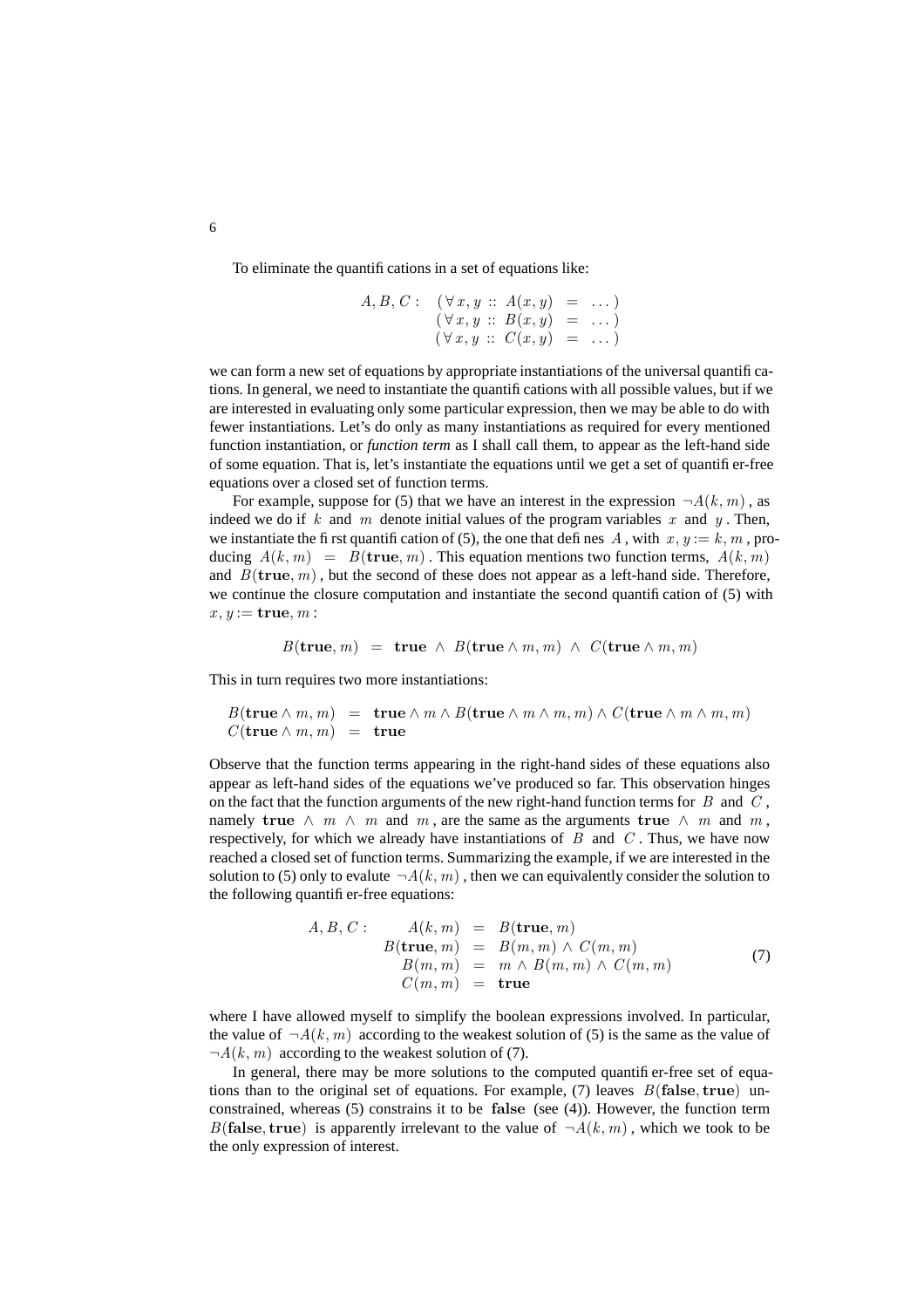To eliminate the quantifications in a set of equations like:

$$
A, B, C: (\forall x, y :: A(x, y) = ...)
$$
  

$$
(\forall x, y :: B(x, y) = ...)
$$
  

$$
(\forall x, y :: C(x, y) = ...)
$$

we can form a new set of equations by appropriate instantiations of the universal quantifications. In general, we need to instantiate the quantifications with all possible values, but if we are interested in evaluating only some particular expression, then we may be able to do with fewer instantiations. Let's do only as many instantiations as required for every mentioned function instantiation, or *function term* as I shall call them, to appear as the left-hand side of some equation. That is, let's instantiate the equations until we get a set of quantifier-free equations over a closed set of function terms.

For example, suppose for (5) that we have an interest in the expression  $\neg A(k, m)$ , as indeed we do if k and m denote initial values of the program variables x and  $y$ . Then, we instantiate the first quantification of (5), the one that defines A, with  $x, y := k, m$ , producing  $A(k, m) = B$ (true, m). This equation mentions two function terms,  $A(k, m)$ and  $B$ (true, m), but the second of these does not appear as a left-hand side. Therefore, we continue the closure computation and instantiate the second quantification of (5) with  $x, y :=$ **true**,  $m$  :

$$
B(\mathbf{true},m) = \mathbf{true} \ \wedge \ B(\mathbf{true} \wedge m,m) \ \wedge \ C(\mathbf{true} \wedge m,m)
$$

This in turn requires two more instantiations:

$$
B(\mathbf{true} \wedge m, m) = \mathbf{true} \wedge m \wedge B(\mathbf{true} \wedge m, m, m) \wedge C(\mathbf{true} \wedge m \wedge m, m)
$$
  

$$
C(\mathbf{true} \wedge m, m) = \mathbf{true}
$$

Observe that the function terms appearing in the right-hand sides of these equations also appear as left-hand sides of the equations we've produced so far. This observation hinges on the fact that the function arguments of the new right-hand function terms for  $B$  and  $C$ , namely true  $\wedge$  m  $\wedge$  m and m, are the same as the arguments true  $\wedge$  m and m, respectively, for which we already have instantiations of  $B$  and  $C$ . Thus, we have now reached a closed set of function terms. Summarizing the example, if we are interested in the solution to (5) only to evalute  $\neg A(k, m)$ , then we can equivalently consider the solution to the following quantifier-free equations:

$$
A, B, C: \qquad A(k, m) = B(\mathbf{true}, m)
$$
  
\n
$$
B(\mathbf{true}, m) = B(m, m) \land C(m, m)
$$
  
\n
$$
B(m, m) = m \land B(m, m) \land C(m, m)
$$
  
\n
$$
C(m, m) = \mathbf{true}
$$
\n(7)

where I have allowed myself to simplify the boolean expressions involved. In particular, the value of  $\neg A(k, m)$  according to the weakest solution of (5) is the same as the value of  $\neg A(k, m)$  according to the weakest solution of (7).

In general, there may be more solutions to the computed quantifier-free set of equations than to the original set of equations. For example, (7) leaves  $B$ (false, true) unconstrained, whereas (5) constrains it to be false (see (4)). However, the function term B(false, true) is apparently irrelevant to the value of  $\neg A(k, m)$ , which we took to be the only expression of interest.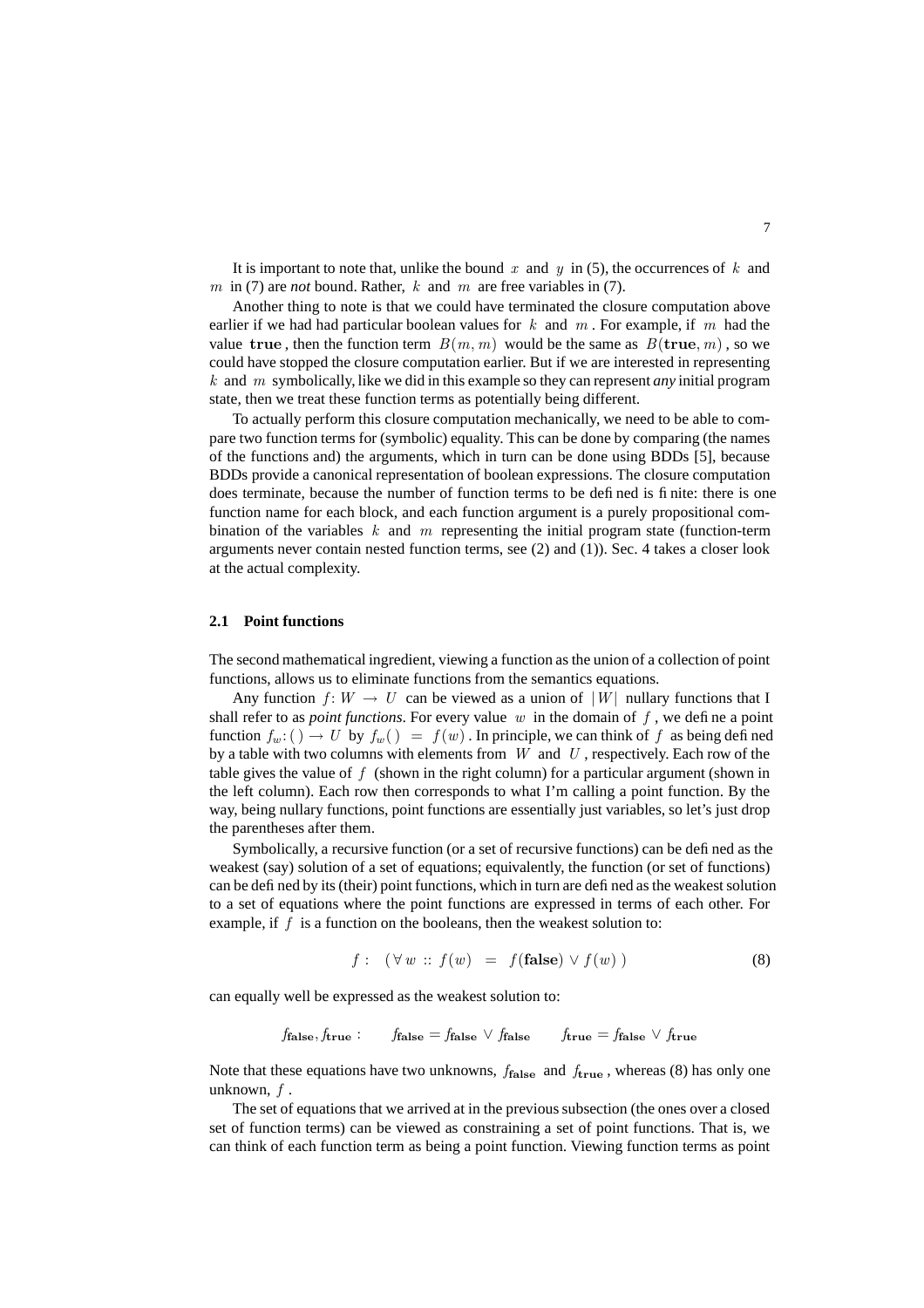It is important to note that, unlike the bound x and y in (5), the occurrences of k and m in (7) are *not* bound. Rather, k and m are free variables in (7).

Another thing to note is that we could have terminated the closure computation above earlier if we had had particular boolean values for  $k$  and  $m$ . For example, if  $m$  had the value true, then the function term  $B(m, m)$  would be the same as  $B(\text{true}, m)$ , so we could have stopped the closure computation earlier. But if we are interested in representing k and m symbolically, like we did in this example so they can represent *any* initial program state, then we treat these function terms as potentially being different.

To actually perform this closure computation mechanically, we need to be able to compare two function terms for (symbolic) equality. This can be done by comparing (the names of the functions and) the arguments, which in turn can be done using BDDs [5], because BDDs provide a canonical representation of boolean expressions. The closure computation does terminate, because the number of function terms to be defined is finite: there is one function name for each block, and each function argument is a purely propositional combination of the variables  $k$  and  $m$  representing the initial program state (function-term arguments never contain nested function terms, see (2) and (1)). Sec. 4 takes a closer look at the actual complexity.

#### **2.1 Point functions**

The second mathematical ingredient, viewing a function as the union of a collection of point functions, allows us to eliminate functions from the semantics equations.

Any function  $f: W \to U$  can be viewed as a union of  $|W|$  nullary functions that I shall refer to as *point functions*. For every value  $w$  in the domain of  $f$ , we define a point function  $f_w$ : ()  $\rightarrow U$  by  $f_w$  () =  $f(w)$ . In principle, we can think of f as being defined by a table with two columns with elements from  $W$  and  $U$ , respectively. Each row of the table gives the value of  $f$  (shown in the right column) for a particular argument (shown in the left column). Each row then corresponds to what I'm calling a point function. By the way, being nullary functions, point functions are essentially just variables, so let's just drop the parentheses after them.

Symbolically, a recursive function (or a set of recursive functions) can be defined as the weakest (say) solution of a set of equations; equivalently, the function (or set of functions) can be defined by its (their) point functions, which in turn are defined as the weakestsolution to a set of equations where the point functions are expressed in terms of each other. For example, if  $f$  is a function on the booleans, then the weakest solution to:

$$
f: (\forall w :: f(w) = f(\text{false}) \lor f(w)) \tag{8}
$$

can equally well be expressed as the weakest solution to:

$$
f_{\text{false}}, f_{\text{true}}:
$$
  $f_{\text{false}} = f_{\text{false}} \vee f_{\text{false}}$   $f_{\text{true}} = f_{\text{false}} \vee f_{\text{true}}$ 

Note that these equations have two unknowns,  $f_{\text{false}}$  and  $f_{\text{true}}$ , whereas (8) has only one unknown, f .

The set of equations that we arrived at in the previous subsection (the ones over a closed set of function terms) can be viewed as constraining a set of point functions. That is, we can think of each function term as being a point function. Viewing function terms as point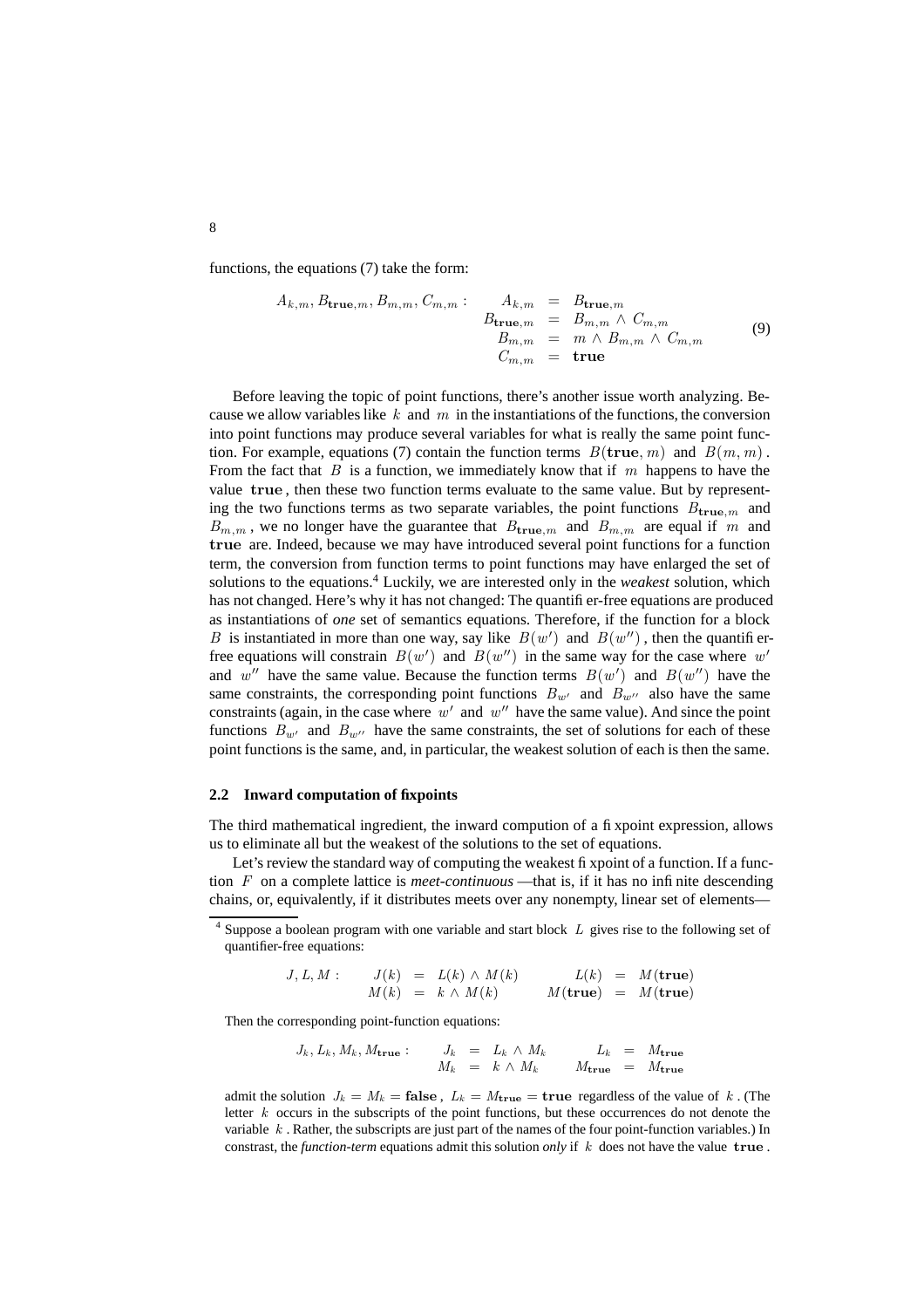functions, the equations (7) take the form:

$$
A_{k,m}, B_{\mathbf{true},m}, B_{m,m}, C_{m,m} : \n A_{k,m} = B_{\mathbf{true},m}
$$
\n
$$
B_{\mathbf{true},m} = B_{m,m} \wedge C_{m,m}
$$
\n
$$
B_{m,m} = m \wedge B_{m,m} \wedge C_{m,m}
$$
\n
$$
C_{m,m} = \mathbf{true}
$$
\n(9)

Before leaving the topic of point functions, there's another issue worth analyzing. Because we allow variables like  $k$  and  $m$  in the instantiations of the functions, the conversion into point functions may produce several variables for what is really the same point function. For example, equations (7) contain the function terms  $B(\mathbf{true}, m)$  and  $B(m, m)$ . From the fact that  $B$  is a function, we immediately know that if  $m$  happens to have the value true , then these two function terms evaluate to the same value. But by representing the two functions terms as two separate variables, the point functions  $B_{true,m}$  and  $B_{m,m}$ , we no longer have the guarantee that  $B_{\text{true},m}$  and  $B_{m,m}$  are equal if m and true are. Indeed, because we may have introduced several point functions for a function term, the conversion from function terms to point functions may have enlarged the set of solutions to the equations.<sup>4</sup> Luckily, we are interested only in the *weakest* solution, which has not changed. Here's why it has not changed: The quantifier-free equations are produced as instantiations of *one* set of semantics equations. Therefore, if the function for a block B is instantiated in more than one way, say like  $B(w')$  and  $B(w'')$ , then the quantifierfree equations will constrain  $B(w')$  and  $B(w'')$  in the same way for the case where w' and w'' have the same value. Because the function terms  $B(w')$  and  $B(w'')$  have the same constraints, the corresponding point functions  $B_{w'}$  and  $B_{w''}$  also have the same constraints (again, in the case where  $w'$  and  $w''$  have the same value). And since the point functions  $B_{w'}$  and  $B_{w''}$  have the same constraints, the set of solutions for each of these point functions is the same, and, in particular, the weakest solution of each is then the same.

### **2.2 Inward computation of fixpoints**

The third mathematical ingredient, the inward compution of a fixpoint expression, allows us to eliminate all but the weakest of the solutions to the set of equations.

Let's review the standard way of computing the weakest fixpoint of a function. If a function F on a complete lattice is *meet-continuous* —that is, if it has no infinite descending chains, or, equivalently, if it distributes meets over any nonempty, linear set of elements—

$$
J, L, M: \t J(k) = L(k) \wedge M(k) \t L(k) = M(\text{true})
$$
  

$$
M(k) = k \wedge M(k) \t M(\text{true}) = M(\text{true})
$$

Then the corresponding point-function equations:

$$
J_k, L_k, M_k, M_{\text{true}}:
$$
  $J_k = L_k \wedge M_k$   $L_k = M_{\text{true}}$   
 $M_k = k \wedge M_k$   $M_{\text{true}} = M_{\text{true}}$ 

admit the solution  $J_k = M_k = \textbf{false}$ ,  $L_k = M_{\textbf{true}} = \textbf{true}$  regardless of the value of k. (The letter  $k$  occurs in the subscripts of the point functions, but these occurrences do not denote the variable  $k$ . Rather, the subscripts are just part of the names of the four point-function variables.) In constrast, the *function-term* equations admit this solution *only* if k does not have the value true .

 $<sup>4</sup>$  Suppose a boolean program with one variable and start block  $L$  gives rise to the following set of</sup> quantifier-free equations: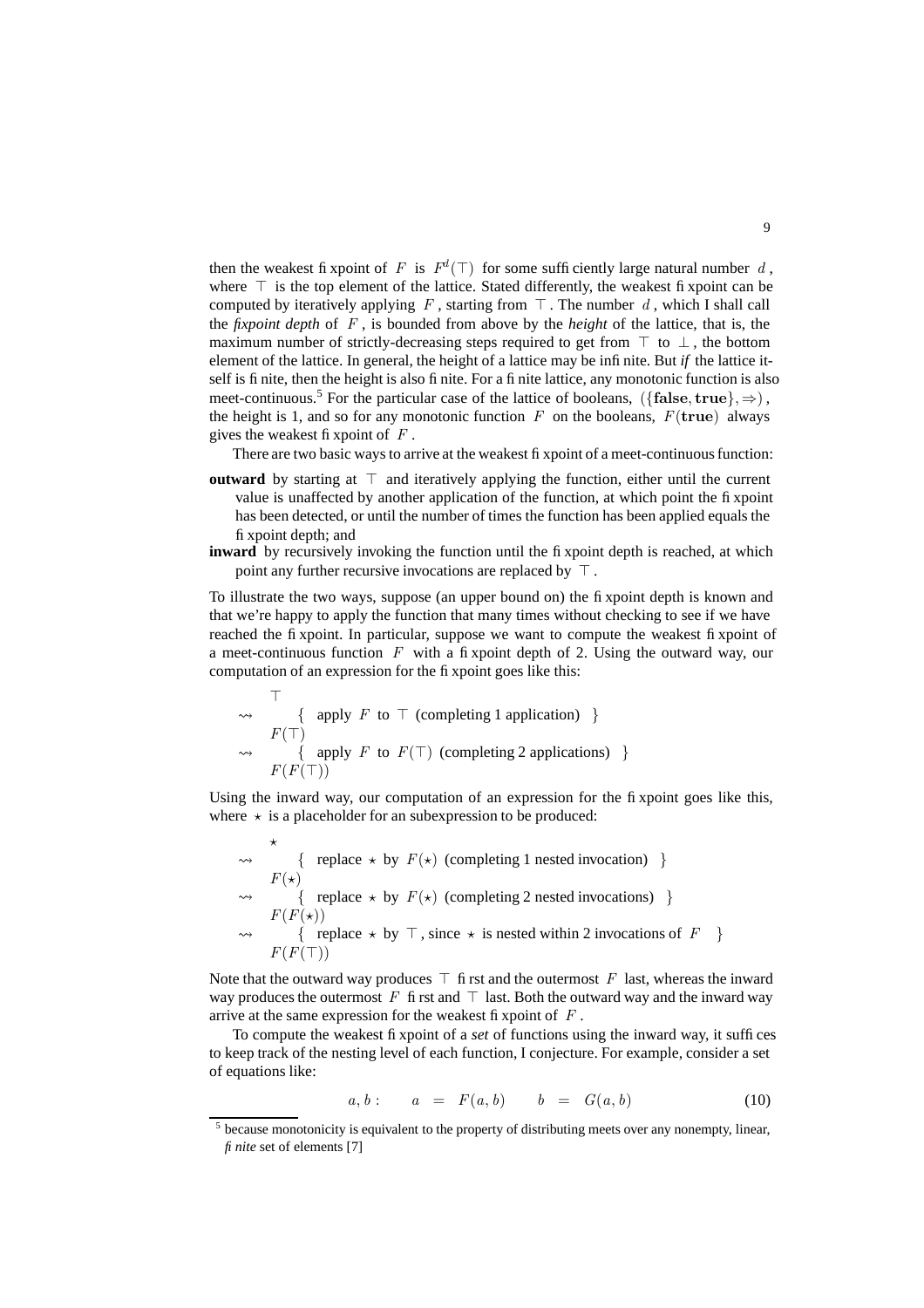then the weakest fix point of F is  $F^d(\top)$  for some sufficiently large natural number d, where  $\top$  is the top element of the lattice. Stated differently, the weakest fixpoint can be computed by iteratively applying F, starting from  $\top$ . The number d, which I shall call the *fixpoint depth* of F , is bounded from above by the *height* of the lattice, that is, the maximum number of strictly-decreasing steps required to get from  $\top$  to  $\bot$ , the bottom element of the lattice. In general, the height of a lattice may be infinite. But *if* the lattice itself is finite, then the height is also finite. For a finite lattice, any monotonic function is also meet-continuous.<sup>5</sup> For the particular case of the lattice of booleans,  $({\{\text{false}, \text{true}\}}, \Rightarrow)$ , the height is 1, and so for any monotonic function  $F$  on the booleans,  $F(\mathbf{true})$  always gives the weakest fixpoint of  $F$ .

There are two basic ways to arrive at the weakest fixpoint of a meet-continuous function:

- **outward** by starting at  $\top$  and iteratively applying the function, either until the current value is unaffected by another application of the function, at which point the fixpoint has been detected, or until the number of times the function has been applied equals the fixpoint depth; and
- **inward** by recursively invoking the function until the fixpoint depth is reached, at which point any further recursive invocations are replaced by  $\top$ .

To illustrate the two ways, suppose (an upper bound on) the fixpoint depth is known and that we're happy to apply the function that many times without checking to see if we have reached the fixpoint. In particular, suppose we want to compute the weakest fixpoint of a meet-continuous function  $F$  with a fixpoint depth of 2. Using the outward way, our computation of an expression for the fixpoint goes like this:

$$
\begin{array}{ccc}\n\uparrow & & \uparrow & \{ \text{ apply } F \text{ to } \top \text{ (completing 1 application)} \} \\
\downarrow & & \{ \text{ apply } F \text{ to } F(\top) \text{ (completing 2 applications)} \} \\
& F(F(\top)) & & \end{array}
$$

Using the inward way, our computation of an expression for the fixpoint goes like this, where  $\star$  is a placeholder for an subexpression to be produced:

 $\star$  $\rightsquigarrow$  { replace  $\star$  by  $F(\star)$  (completing 1 nested invocation) }  $F(\star)$  $\rightsquigarrow$  { replace  $\star$  by  $F(\star)$  (completing 2 nested invocations) }  $F(F(\star))$  $\rightsquigarrow$  { replace  $\star$  by  $\top$ , since  $\star$  is nested within 2 invocations of  $F$  }  $F(F(\top))$ 

Note that the outward way produces  $\top$  first and the outermost F last, whereas the inward way produces the outermost F first and  $\top$  last. Both the outward way and the inward way arrive at the same expression for the weakest fixpoint of  $F$ .

To compute the weakest fixpoint of a *set* of functions using the inward way, it suffices to keep track of the nesting level of each function, I conjecture. For example, consider a set of equations like:

$$
a, b: \t a = F(a, b) \t b = G(a, b) \t (10)
$$

<sup>&</sup>lt;sup>5</sup> because monotonicity is equivalent to the property of distributing meets over any nonempty, linear, *finite* set of elements [7]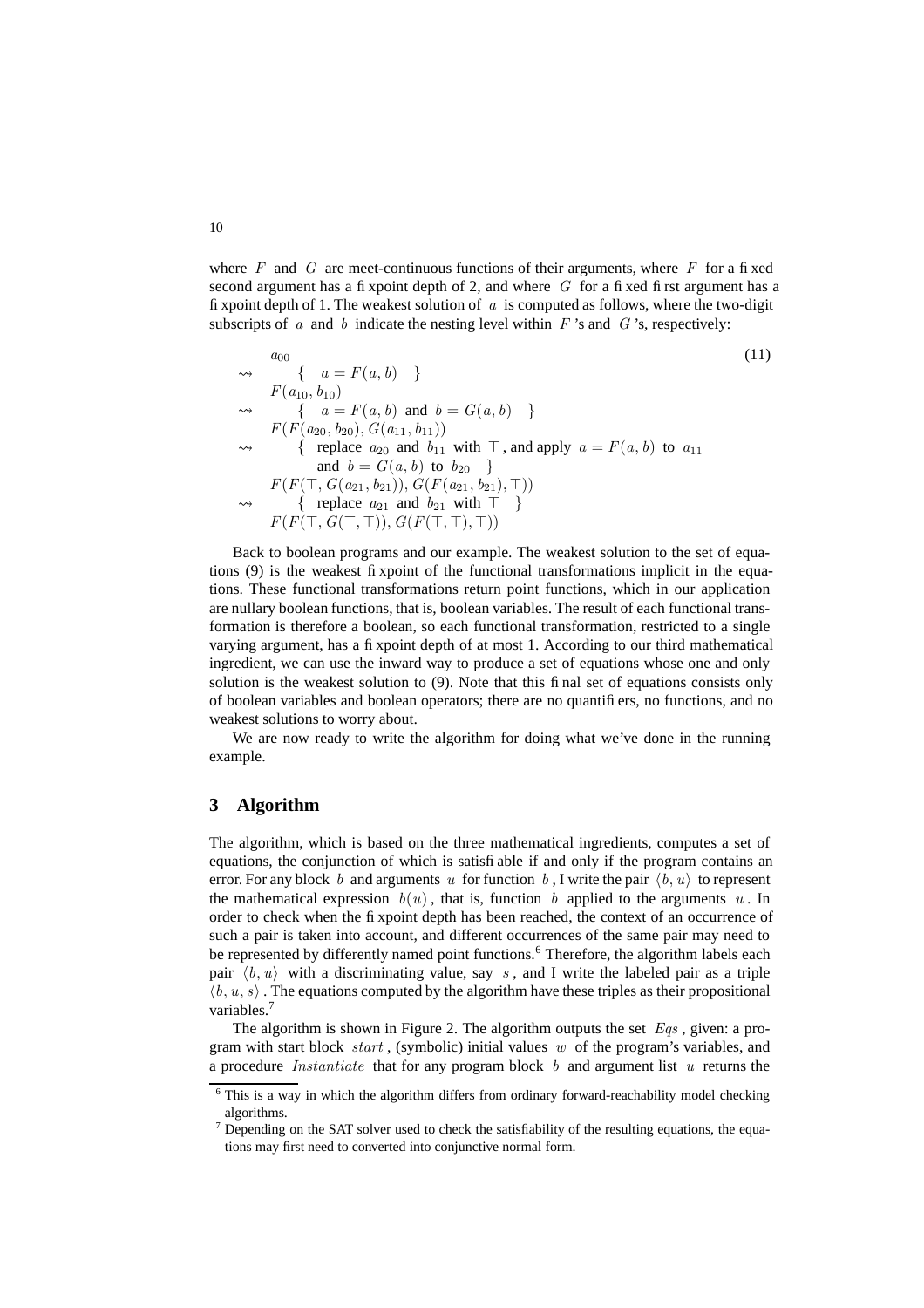where  $F$  and  $G$  are meet-continuous functions of their arguments, where  $F$  for a fixed second argument has a fixpoint depth of 2, and where  $G$  for a fixed first argument has a fixpoint depth of 1. The weakest solution of  $\alpha$  is computed as follows, where the two-digit subscripts of  $\alpha$  and  $\dot{\beta}$  indicate the nesting level within  $F$ 's and  $G$ 's, respectively:

$$
\begin{array}{ll}\n a_{00} & \{a = F(a, b) \} \\
 \sim & \{a = F(a, b) \} \\
 & \qquad \{a = F(a, b) \text{ and } b = G(a, b) \} \\
 & \qquad \{a = F(a, b) \text{ and } b = G(a, b) \} \\
 & \qquad \{ \text{ replace } a_{20} \text{ and } b_{11} \text{ with } \top, \text{ and apply } a = F(a, b) \text{ to } a_{11} \\
 & \qquad \text{and } b = G(a, b) \text{ to } b_{20} \} \\
 & \qquad \{ \text{ replace } a_{21} \text{ and } b_{21} \text{ with } \top \} \\
 & \qquad \{ \text{ replace } a_{21} \text{ and } b_{21} \text{ with } \top \} \\
 & \qquad \{ \text{ replace } a_{21} \text{ and } b_{21} \text{ with } \top \} \\
 & \qquad \{ \text{F}(F(\top, G(\top, \top)), G(F(\top, \top), \top)) \} \\
 &\n\end{array}
$$
\n
$$
(11)
$$

Back to boolean programs and our example. The weakest solution to the set of equations (9) is the weakest fixpoint of the functional transformations implicit in the equations. These functional transformations return point functions, which in our application are nullary boolean functions, that is, boolean variables. The result of each functional transformation is therefore a boolean, so each functional transformation, restricted to a single varying argument, has a fixpoint depth of at most 1. According to our third mathematical ingredient, we can use the inward way to produce a set of equations whose one and only solution is the weakest solution to (9). Note that this final set of equations consists only of boolean variables and boolean operators; there are no quantifiers, no functions, and no weakest solutions to worry about.

We are now ready to write the algorithm for doing what we've done in the running example.

## **3 Algorithm**

The algorithm, which is based on the three mathematical ingredients, computes a set of equations, the conjunction of which is satisfiable if and only if the program contains an error. For any block b and arguments u for function b, I write the pair  $\langle b, u \rangle$  to represent the mathematical expression  $b(u)$ , that is, function b applied to the arguments u. In order to check when the fixpoint depth has been reached, the context of an occurrence of such a pair is taken into account, and different occurrences of the same pair may need to be represented by differently named point functions.<sup>6</sup> Therefore, the algorithm labels each pair  $\langle b, u \rangle$  with a discriminating value, say s, and I write the labeled pair as a triple  $\langle b, u, s \rangle$ . The equations computed by the algorithm have these triples as their propositional variables.<sup>7</sup>

The algorithm is shown in Figure 2. The algorithm outputs the set  $Eqs$ , given: a program with start block *start*, (symbolic) initial values w of the program's variables, and a procedure *Instantiate* that for any program block b and argument list u returns the

<sup>&</sup>lt;sup>6</sup> This is a way in which the algorithm differs from ordinary forward-reachability model checking algorithms.

 $7$  Depending on the SAT solver used to check the satisfiability of the resulting equations, the equations may first need to converted into conjunctive normal form.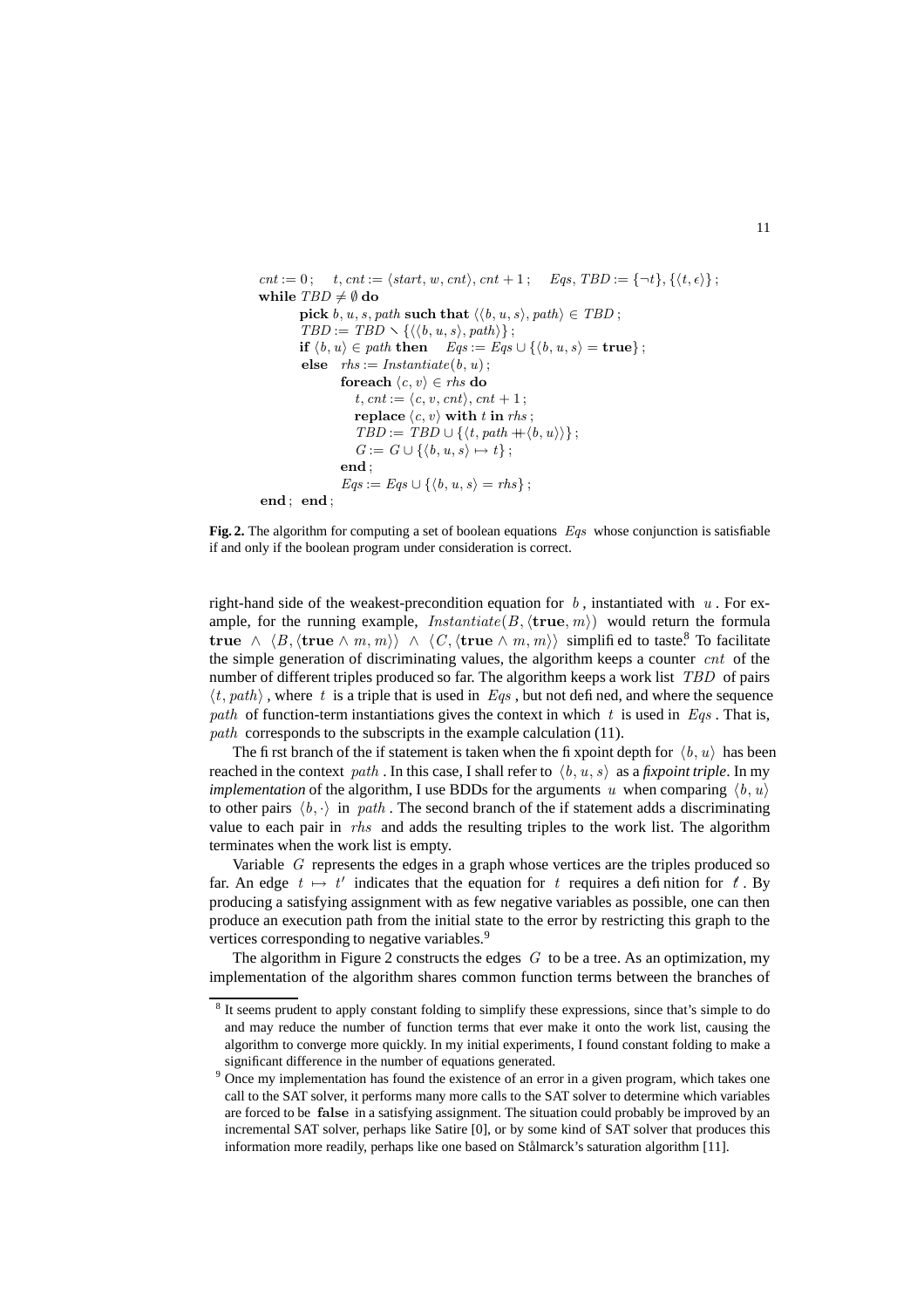```
cnt := 0; t, cnt := \langle start, w, cnt \rangle, cnt + 1; Eqs, TBD := {\neg t}, {\lbrace \langle t, \epsilon \rangle \rbrace};while TBD \neq \emptyset do
           pick b, u, s, path such that \langle \langle b, u, s \rangle, path\rangle \in TBD;
           TBD := TBD \setminus \{ \langle \langle b, u, s \rangle, path \rangle \};if \langle b, u \rangle \in path then Eqs := Eqs \cup \{\langle b, u, s \rangle = \text{true}\};end; end;else rhs := Instantiate(b, u);
                     foreach \langle c, v \rangle \in \mathit{rhs} do
                         t, ent := \langle c, v, cnt \rangle, cnt + 1;
                         replace \langle c, v \rangle with t in rhs;
                         TBD := TBD \cup \{ \langle t, path + \langle b, u \rangle \rangle \};G := G \cup \{ \langle b, u, s \rangle \mapsto t \};end ;
                      Eqs := Eqs \cup \{\langle b, u, s \rangle = rhs\};
```
**Fig. 2.** The algorithm for computing a set of boolean equations Eqs whose conjunction is satisfiable if and only if the boolean program under consideration is correct.

right-hand side of the weakest-precondition equation for  $b$ , instantiated with  $u$ . For example, for the running example,  $Instantiate(B, \langle true, m \rangle)$  would return the formula true  $\wedge$   $\langle B, \langle \text{true} \wedge m, m \rangle \rangle$   $\wedge$   $\langle C, \langle \text{true} \wedge m, m \rangle \rangle$  simplified to taste.<sup>8</sup> To facilitate the simple generation of discriminating values, the algorithm keeps a counter  $cnt$  of the number of different triples produced so far. The algorithm keeps a work list *TBD* of pairs  $\langle t, path \rangle$ , where t is a triple that is used in Eqs, but not defined, and where the sequence path of function-term instantiations gives the context in which  $t$  is used in  $Eqs$ . That is, path corresponds to the subscripts in the example calculation (11).

The first branch of the if statement is taken when the fixpoint depth for  $\langle b, u \rangle$  has been reached in the context path. In this case, I shall refer to  $\langle b, u, s \rangle$  as a *fixpoint triple*. In my *implementation* of the algorithm, I use BDDs for the arguments u when comparing  $\langle b, u \rangle$ to other pairs  $\langle b, \cdot \rangle$  in path. The second branch of the if statement adds a discriminating value to each pair in rhs and adds the resulting triples to the work list. The algorithm terminates when the work list is empty.

Variable  $G$  represents the edges in a graph whose vertices are the triples produced so far. An edge  $t \mapsto t'$  indicates that the equation for t requires a definition for t. By producing a satisfying assignment with as few negative variables as possible, one can then produce an execution path from the initial state to the error by restricting this graph to the vertices corresponding to negative variables.<sup>9</sup>

The algorithm in Figure 2 constructs the edges  $G$  to be a tree. As an optimization, my implementation of the algorithm shares common function terms between the branches of

<sup>&</sup>lt;sup>8</sup> It seems prudent to apply constant folding to simplify these expressions, since that's simple to do and may reduce the number of function terms that ever make it onto the work list, causing the algorithm to converge more quickly. In my initial experiments, I found constant folding to make a significant difference in the number of equations generated.

<sup>&</sup>lt;sup>9</sup> Once my implementation has found the existence of an error in a given program, which takes one call to the SAT solver, it performs many more calls to the SAT solver to determine which variables are forced to be false in a satisfying assignment. The situation could probably be improved by an incremental SAT solver, perhaps like Satire [0], or by some kind of SAT solver that produces this information more readily, perhaps like one based on Stålmarck's saturation algorithm [11].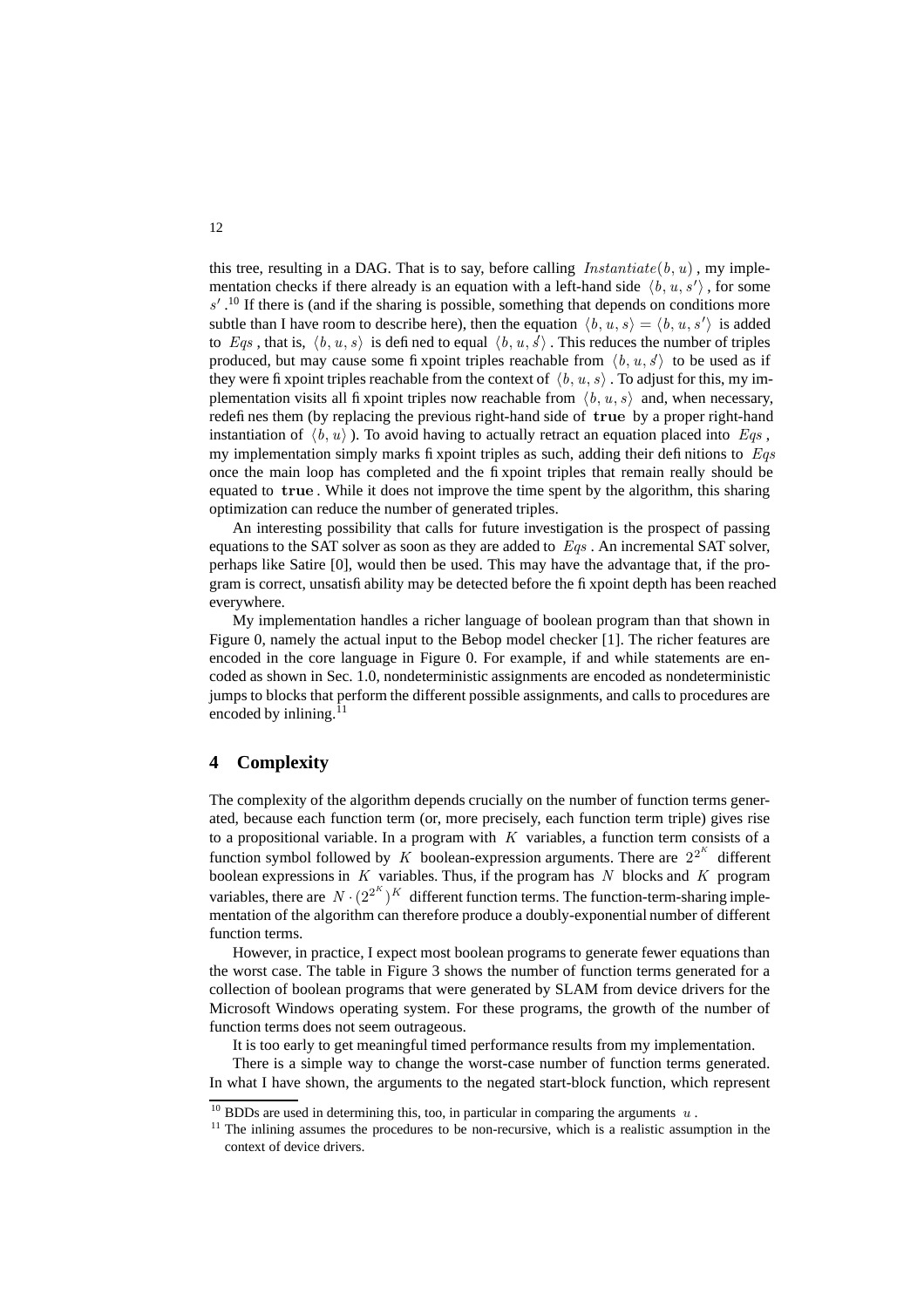this tree, resulting in a DAG. That is to say, before calling  $Instantiate(b, u)$ , my implementation checks if there already is an equation with a left-hand side  $\langle b, u, s' \rangle$ , for some  $s'$ .<sup>10</sup> If there is (and if the sharing is possible, something that depends on conditions more subtle than I have room to describe here), then the equation  $\langle b, u, s \rangle = \langle b, u, s' \rangle$  is added to Eqs, that is,  $\langle b, u, s \rangle$  is defined to equal  $\langle b, u, s \rangle$ . This reduces the number of triples produced, but may cause some fix point triples reachable from  $\langle b, u, s \rangle$  to be used as if they were fixpoint triples reachable from the context of  $\langle b, u, s \rangle$ . To adjust for this, my implementation visits all fixpoint triples now reachable from  $\langle b, u, s \rangle$  and, when necessary, redefines them (by replacing the previous right-hand side of true by a proper right-hand instantiation of  $\langle b, u \rangle$ ). To avoid having to actually retract an equation placed into Eqs. my implementation simply marks fixpoint triples as such, adding their definitions to  $Eqs$ once the main loop has completed and the fixpoint triples that remain really should be equated to true . While it does not improve the time spent by the algorithm, this sharing optimization can reduce the number of generated triples.

An interesting possibility that calls for future investigation is the prospect of passing equations to the SAT solver as soon as they are added to  $Eqs$ . An incremental SAT solver, perhaps like Satire [0], would then be used. This may have the advantage that, if the program is correct, unsatisfiability may be detected before the fixpoint depth has been reached everywhere.

My implementation handles a richer language of boolean program than that shown in Figure 0, namely the actual input to the Bebop model checker [1]. The richer features are encoded in the core language in Figure 0. For example, if and while statements are encoded as shown in Sec. 1.0, nondeterministic assignments are encoded as nondeterministic jumps to blocks that perform the different possible assignments, and calls to procedures are encoded by inlining. $^{11}$ 

# **4 Complexity**

The complexity of the algorithm depends crucially on the number of function terms generated, because each function term (or, more precisely, each function term triple) gives rise to a propositional variable. In a program with  $K$  variables, a function term consists of a function symbol followed by K boolean-expression arguments. There are  $2^{2^K}$  different boolean expressions in K variables. Thus, if the program has N blocks and K program variables, there are  $N \cdot (2^{2^K})^K$  different function terms. The function-term-sharing implementation of the algorithm can therefore produce a doubly-exponential number of different function terms.

However, in practice, I expect most boolean programs to generate fewer equations than the worst case. The table in Figure 3 shows the number of function terms generated for a collection of boolean programs that were generated by SLAM from device drivers for the Microsoft Windows operating system. For these programs, the growth of the number of function terms does not seem outrageous.

It is too early to get meaningful timed performance results from my implementation.

There is a simple way to change the worst-case number of function terms generated. In what I have shown, the arguments to the negated start-block function, which represent

<sup>&</sup>lt;sup>10</sup> BDDs are used in determining this, too, in particular in comparing the arguments u.

 $11$  The inlining assumes the procedures to be non-recursive, which is a realistic assumption in the context of device drivers.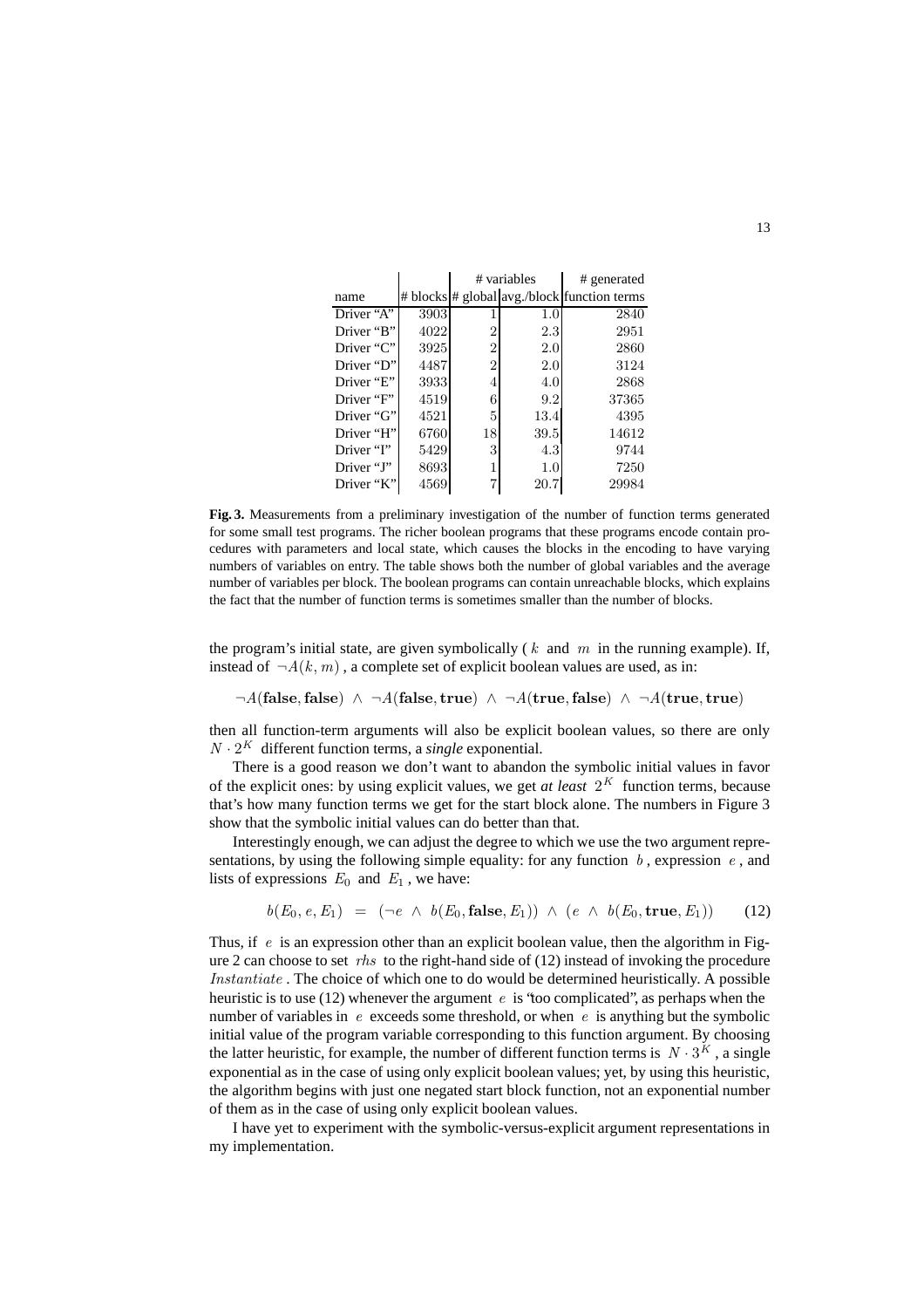|            |      | # variables    |         | # generated                                 |
|------------|------|----------------|---------|---------------------------------------------|
| name       |      |                |         | # blocks # global avg./block function terms |
| Driver "A" | 3903 |                | 1.0     | 2840                                        |
| Driver "B" | 4022 | 2              | $2.3\,$ | 2951                                        |
| Driver "C" | 3925 | 2              | 2.0     | 2860                                        |
| Driver "D" | 4487 | $\overline{2}$ | 2.0     | 3124                                        |
| Driver "E" | 3933 | 4              | 4.0     | 2868                                        |
| Driver "F" | 4519 | 6              | 9.2     | 37365                                       |
| Driver "G" | 4521 | 5              | 13.4    | 4395                                        |
| Driver "H" | 6760 | 18             | 39.5    | 14612                                       |
| Driver "I" | 5429 | 3              | 4.3     | 9744                                        |
| Driver "J" | 8693 |                | 1.0     | 7250                                        |
| Driver "K" | 4569 |                | 20.7    | 29984                                       |

**Fig. 3.** Measurements from a preliminary investigation of the number of function terms generated for some small test programs. The richer boolean programs that these programs encode contain procedures with parameters and local state, which causes the blocks in the encoding to have varying numbers of variables on entry. The table shows both the number of global variables and the average number of variables per block. The boolean programs can contain unreachable blocks, which explains the fact that the number of function terms is sometimes smaller than the number of blocks.

the program's initial state, are given symbolically ( $k$  and  $m$  in the running example). If, instead of  $\neg A(k, m)$ , a complete set of explicit boolean values are used, as in:

 $\neg A(\textbf{false}, \textbf{false}) \land \neg A(\textbf{false}, \textbf{true}) \land \neg A(\textbf{true}, \textbf{false}) \land \neg A(\textbf{true}, \textbf{true})$ 

then all function-term arguments will also be explicit boolean values, so there are only  $N \cdot 2^{K}$  different function terms, a *single* exponential.

There is a good reason we don't want to abandon the symbolic initial values in favor of the explicit ones: by using explicit values, we get *at least*  $2<sup>K</sup>$  function terms, because that's how many function terms we get for the start block alone. The numbers in Figure 3 show that the symbolic initial values can do better than that.

Interestingly enough, we can adjust the degree to which we use the two argument representations, by using the following simple equality: for any function  $b$ , expression  $e$ , and lists of expressions  $E_0$  and  $E_1$ , we have:

$$
b(E_0, e, E_1) = (\neg e \land b(E_0, \text{false}, E_1)) \land (e \land b(E_0, \text{true}, E_1)) \quad (12)
$$

Thus, if  $e$  is an expression other than an explicit boolean value, then the algorithm in Figure 2 can choose to set *rhs* to the right-hand side of  $(12)$  instead of invoking the procedure Instantiate . The choice of which one to do would be determined heuristically. A possible heuristic is to use (12) whenever the argument e is 'too complicated', as perhaps when the number of variables in e exceeds some threshold, or when e is anything but the symbolic initial value of the program variable corresponding to this function argument. By choosing the latter heuristic, for example, the number of different function terms is  $N \cdot 3^K$ , a single exponential as in the case of using only explicit boolean values; yet, by using this heuristic, the algorithm begins with just one negated start block function, not an exponential number of them as in the case of using only explicit boolean values.

I have yet to experiment with the symbolic-versus-explicit argument representations in my implementation.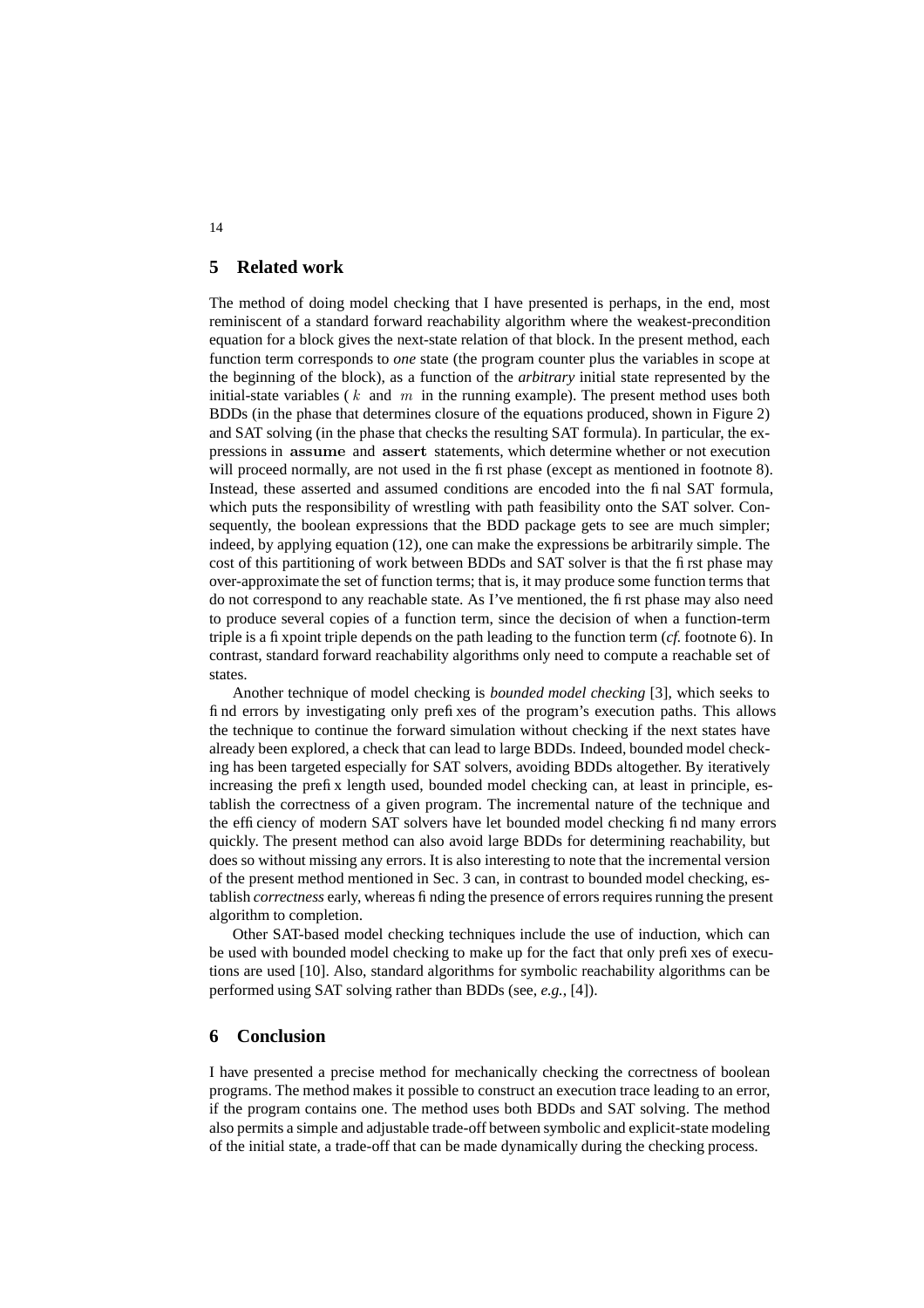# **5 Related work**

The method of doing model checking that I have presented is perhaps, in the end, most reminiscent of a standard forward reachability algorithm where the weakest-precondition equation for a block gives the next-state relation of that block. In the present method, each function term corresponds to *one* state (the program counter plus the variables in scope at the beginning of the block), as a function of the *arbitrary* initial state represented by the initial-state variables ( $k$  and  $m$  in the running example). The present method uses both BDDs (in the phase that determines closure of the equations produced, shown in Figure 2) and SAT solving (in the phase that checks the resulting SAT formula). In particular, the expressions in assume and assert statements, which determine whether or not execution will proceed normally, are not used in the first phase (except as mentioned in footnote 8). Instead, these asserted and assumed conditions are encoded into the final SAT formula, which puts the responsibility of wrestling with path feasibility onto the SAT solver. Consequently, the boolean expressions that the BDD package gets to see are much simpler; indeed, by applying equation (12), one can make the expressions be arbitrarily simple. The cost of this partitioning of work between BDDs and SAT solver is that the first phase may over-approximate the set of function terms; that is, it may produce some function terms that do not correspond to any reachable state. As I've mentioned, the first phase may also need to produce several copies of a function term, since the decision of when a function-term triple is a fixpoint triple depends on the path leading to the function term (*cf.* footnote 6). In contrast, standard forward reachability algorithms only need to compute a reachable set of states.

Another technique of model checking is *bounded model checking* [3], which seeks to find errors by investigating only prefixes of the program's execution paths. This allows the technique to continue the forward simulation without checking if the next states have already been explored, a check that can lead to large BDDs. Indeed, bounded model checking has been targeted especially for SAT solvers, avoiding BDDs altogether. By iteratively increasing the prefix length used, bounded model checking can, at least in principle, establish the correctness of a given program. The incremental nature of the technique and the efficiency of modern SAT solvers have let bounded model checking find many errors quickly. The present method can also avoid large BDDs for determining reachability, but does so without missing any errors. It is also interesting to note that the incremental version of the present method mentioned in Sec. 3 can, in contrast to bounded model checking, establish *correctness* early, whereas finding the presence of errors requires running the present algorithm to completion.

Other SAT-based model checking techniques include the use of induction, which can be used with bounded model checking to make up for the fact that only prefixes of executions are used [10]. Also, standard algorithms for symbolic reachability algorithms can be performed using SAT solving rather than BDDs (see, *e.g.*, [4]).

### **6 Conclusion**

I have presented a precise method for mechanically checking the correctness of boolean programs. The method makes it possible to construct an execution trace leading to an error, if the program contains one. The method uses both BDDs and SAT solving. The method also permits a simple and adjustable trade-off between symbolic and explicit-state modeling of the initial state, a trade-off that can be made dynamically during the checking process.